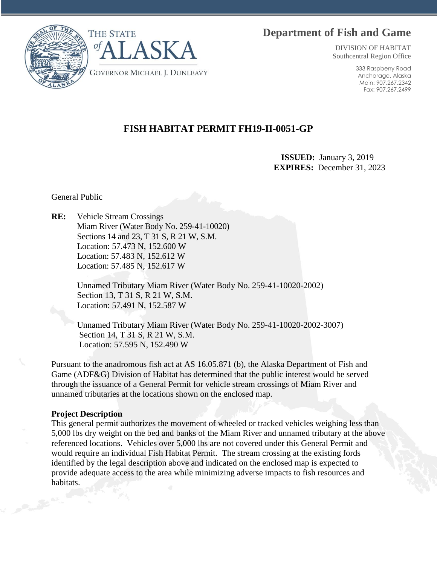# **Department of Fish and Game**



DIVISION OF HABITAT Southcentral Region Office

> 333 Raspberry Road Anchorage, Alaska Main: 907.267.2342 Fax: 907.267.2499

## **FISH HABITAT PERMIT FH19-II-0051-GP**

 **ISSUED:** January 3, 2019 **EXPIRES:** December 31, 2023

General Public

**RE:** Vehicle Stream Crossings Miam River (Water Body No. 259-41-10020) Sections 14 and 23, T 31 S, R 21 W, S.M. Location: 57.473 N, 152.600 W Location: 57.483 N, 152.612 W Location: 57.485 N, 152.617 W

> Unnamed Tributary Miam River (Water Body No. 259-41-10020-2002) Section 13, T 31 S, R 21 W, S.M. Location: 57.491 N, 152.587 W

Unnamed Tributary Miam River (Water Body No. 259-41-10020-2002-3007) Section 14, T 31 S, R 21 W, S.M. Location: 57.595 N, 152.490 W

Pursuant to the anadromous fish act at AS 16.05.871 (b), the Alaska Department of Fish and Game (ADF&G) Division of Habitat has determined that the public interest would be served through the issuance of a General Permit for vehicle stream crossings of Miam River and unnamed tributaries at the locations shown on the enclosed map.

#### **Project Description**

This general permit authorizes the movement of wheeled or tracked vehicles weighing less than 5,000 lbs dry weight on the bed and banks of the Miam River and unnamed tributary at the above referenced locations. Vehicles over 5,000 lbs are not covered under this General Permit and would require an individual Fish Habitat Permit. The stream crossing at the existing fords identified by the legal description above and indicated on the enclosed map is expected to provide adequate access to the area while minimizing adverse impacts to fish resources and habitats.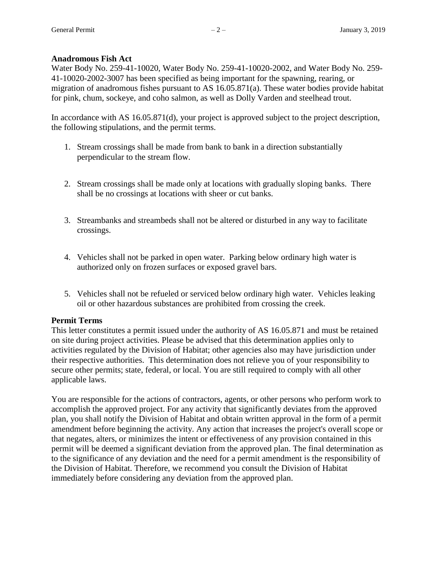## **Anadromous Fish Act**

Water Body No. 259-41-10020, Water Body No. 259-41-10020-2002, and Water Body No. 259- 41-10020-2002-3007 has been specified as being important for the spawning, rearing, or migration of anadromous fishes pursuant to AS 16.05.871(a). These water bodies provide habitat for pink, chum, sockeye, and coho salmon, as well as Dolly Varden and steelhead trout.

In accordance with AS 16.05.871(d), your project is approved subject to the project description, the following stipulations, and the permit terms.

- 1. Stream crossings shall be made from bank to bank in a direction substantially perpendicular to the stream flow.
- 2. Stream crossings shall be made only at locations with gradually sloping banks. There shall be no crossings at locations with sheer or cut banks.
- 3. Streambanks and streambeds shall not be altered or disturbed in any way to facilitate crossings.
- 4. Vehicles shall not be parked in open water. Parking below ordinary high water is authorized only on frozen surfaces or exposed gravel bars.
- 5. Vehicles shall not be refueled or serviced below ordinary high water. Vehicles leaking oil or other hazardous substances are prohibited from crossing the creek.

## **Permit Terms**

This letter constitutes a permit issued under the authority of AS 16.05.871 and must be retained on site during project activities. Please be advised that this determination applies only to activities regulated by the Division of Habitat; other agencies also may have jurisdiction under their respective authorities. This determination does not relieve you of your responsibility to secure other permits; state, federal, or local. You are still required to comply with all other applicable laws.

You are responsible for the actions of contractors, agents, or other persons who perform work to accomplish the approved project. For any activity that significantly deviates from the approved plan, you shall notify the Division of Habitat and obtain written approval in the form of a permit amendment before beginning the activity. Any action that increases the project's overall scope or that negates, alters, or minimizes the intent or effectiveness of any provision contained in this permit will be deemed a significant deviation from the approved plan. The final determination as to the significance of any deviation and the need for a permit amendment is the responsibility of the Division of Habitat. Therefore, we recommend you consult the Division of Habitat immediately before considering any deviation from the approved plan.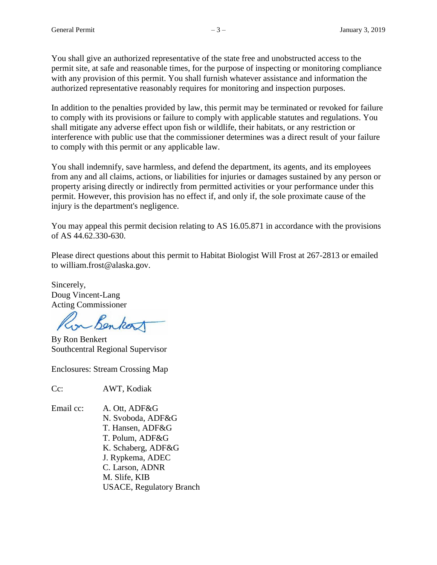You shall give an authorized representative of the state free and unobstructed access to the permit site, at safe and reasonable times, for the purpose of inspecting or monitoring compliance with any provision of this permit. You shall furnish whatever assistance and information the authorized representative reasonably requires for monitoring and inspection purposes.

In addition to the penalties provided by law, this permit may be terminated or revoked for failure to comply with its provisions or failure to comply with applicable statutes and regulations. You shall mitigate any adverse effect upon fish or wildlife, their habitats, or any restriction or interference with public use that the commissioner determines was a direct result of your failure to comply with this permit or any applicable law.

You shall indemnify, save harmless, and defend the department, its agents, and its employees from any and all claims, actions, or liabilities for injuries or damages sustained by any person or property arising directly or indirectly from permitted activities or your performance under this permit. However, this provision has no effect if, and only if, the sole proximate cause of the injury is the department's negligence.

You may appeal this permit decision relating to AS 16.05.871 in accordance with the provisions of AS 44.62.330-630.

Please direct questions about this permit to Habitat Biologist Will Frost at 267-2813 or emailed to william.frost@alaska.gov.

Sincerely, Doug Vincent-Lang Acting Commissioner

in Benkort

By Ron Benkert Southcentral Regional Supervisor

Enclosures: Stream Crossing Map

Cc: AWT, Kodiak

Email cc: A. Ott, ADF&G N. Svoboda, ADF&G T. Hansen, ADF&G T. Polum, ADF&G K. Schaberg, ADF&G J. Rypkema, ADEC C. Larson, ADNR M. Slife, KIB USACE, Regulatory Branch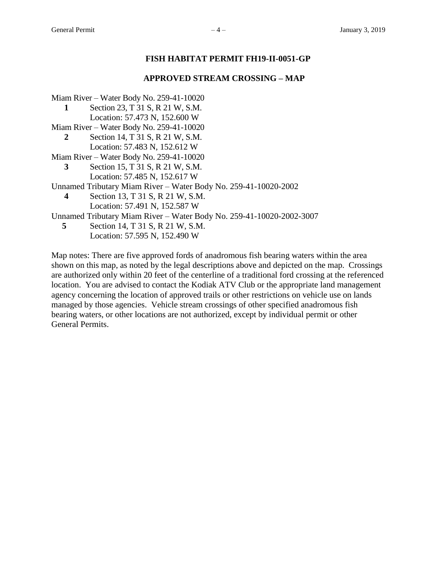#### **FISH HABITAT PERMIT FH19-II-0051-GP**

#### **APPROVED STREAM CROSSING – MAP**

- Miam River Water Body No. 259-41-10020
	- **1** Section 23, T 31 S, R 21 W, S.M.
	- Location: 57.473 N, 152.600 W
- Miam River Water Body No. 259-41-10020
	- **2** Section 14, T 31 S, R 21 W, S.M. Location: 57.483 N, 152.612 W
- Miam River Water Body No. 259-41-10020
	- **3** Section 15, T 31 S, R 21 W, S.M. Location: 57.485 N, 152.617 W
- Unnamed Tributary Miam River Water Body No. 259-41-10020-2002
	- **4** Section 13, T 31 S, R 21 W, S.M.
		- Location: 57.491 N, 152.587 W
- Unnamed Tributary Miam River Water Body No. 259-41-10020-2002-3007
	- **5** Section 14, T 31 S, R 21 W, S.M. Location: 57.595 N, 152.490 W

Map notes: There are five approved fords of anadromous fish bearing waters within the area shown on this map, as noted by the legal descriptions above and depicted on the map. Crossings are authorized only within 20 feet of the centerline of a traditional ford crossing at the referenced location. You are advised to contact the Kodiak ATV Club or the appropriate land management agency concerning the location of approved trails or other restrictions on vehicle use on lands managed by those agencies. Vehicle stream crossings of other specified anadromous fish bearing waters, or other locations are not authorized, except by individual permit or other General Permits.